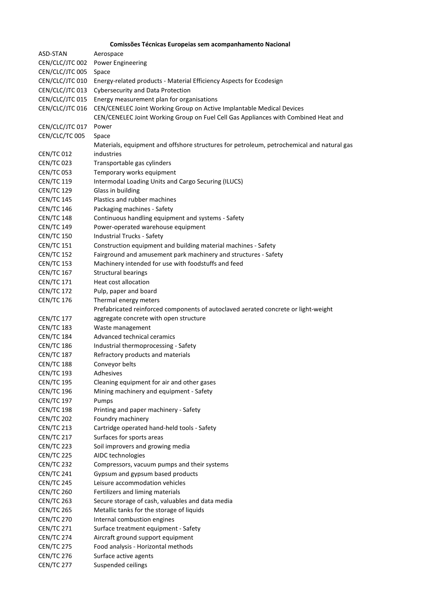## **Comissões Técnicas Europeias sem acompanhamento Nacional**

| Aerospace                                                                                 |
|-------------------------------------------------------------------------------------------|
| CEN/CLC/JTC 002<br><b>Power Engineering</b>                                               |
| Space                                                                                     |
| Energy-related products - Material Efficiency Aspects for Ecodesign                       |
| <b>Cybersecurity and Data Protection</b>                                                  |
| Energy measurement plan for organisations                                                 |
| CEN/CENELEC Joint Working Group on Active Implantable Medical Devices                     |
| CEN/CENELEC Joint Working Group on Fuel Cell Gas Appliances with Combined Heat and        |
| Power                                                                                     |
| Space                                                                                     |
| Materials, equipment and offshore structures for petroleum, petrochemical and natural gas |
| industries                                                                                |
| Transportable gas cylinders                                                               |
| Temporary works equipment                                                                 |
| Intermodal Loading Units and Cargo Securing (ILUCS)                                       |
| Glass in building                                                                         |
| Plastics and rubber machines                                                              |
| Packaging machines - Safety                                                               |
| Continuous handling equipment and systems - Safety                                        |
| Power-operated warehouse equipment                                                        |
| <b>Industrial Trucks - Safety</b>                                                         |
| Construction equipment and building material machines - Safety                            |
| Fairground and amusement park machinery and structures - Safety                           |
| Machinery intended for use with foodstuffs and feed                                       |
| <b>Structural bearings</b>                                                                |
| Heat cost allocation                                                                      |
| Pulp, paper and board                                                                     |
| Thermal energy meters                                                                     |
| Prefabricated reinforced components of autoclaved aerated concrete or light-weight        |
| aggregate concrete with open structure                                                    |
| Waste management                                                                          |
| Advanced technical ceramics                                                               |
| Industrial thermoprocessing - Safety                                                      |
| Refractory products and materials                                                         |
| Conveyor belts                                                                            |
| Adhesives                                                                                 |
| Cleaning equipment for air and other gases                                                |
| Mining machinery and equipment - Safety                                                   |
| Pumps                                                                                     |
| Printing and paper machinery - Safety                                                     |
| Foundry machinery                                                                         |
| Cartridge operated hand-held tools - Safety                                               |
| Surfaces for sports areas                                                                 |
| Soil improvers and growing media                                                          |
| AIDC technologies                                                                         |
| Compressors, vacuum pumps and their systems                                               |
| Gypsum and gypsum based products                                                          |
| Leisure accommodation vehicles                                                            |
| Fertilizers and liming materials                                                          |
| Secure storage of cash, valuables and data media                                          |
| Metallic tanks for the storage of liquids                                                 |
| Internal combustion engines                                                               |
| Surface treatment equipment - Safety                                                      |
| Aircraft ground support equipment                                                         |
| Food analysis - Horizontal methods                                                        |
| Surface active agents                                                                     |
| Suspended ceilings                                                                        |
|                                                                                           |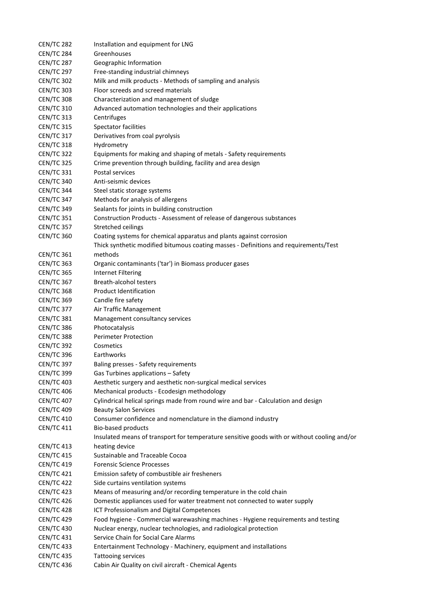| <b>CEN/TC 282</b>                      | Installation and equipment for LNG                                                          |
|----------------------------------------|---------------------------------------------------------------------------------------------|
| <b>CEN/TC 284</b>                      | Greenhouses                                                                                 |
| <b>CEN/TC 287</b>                      | Geographic Information                                                                      |
| <b>CEN/TC 297</b>                      | Free-standing industrial chimneys                                                           |
| <b>CEN/TC 302</b>                      | Milk and milk products - Methods of sampling and analysis                                   |
| <b>CEN/TC 303</b>                      | Floor screeds and screed materials                                                          |
| <b>CEN/TC 308</b>                      | Characterization and management of sludge                                                   |
| <b>CEN/TC 310</b>                      | Advanced automation technologies and their applications                                     |
| <b>CEN/TC 313</b>                      | Centrifuges                                                                                 |
| <b>CEN/TC 315</b>                      | <b>Spectator facilities</b>                                                                 |
| <b>CEN/TC 317</b>                      | Derivatives from coal pyrolysis                                                             |
| <b>CEN/TC 318</b>                      | Hydrometry                                                                                  |
| <b>CEN/TC 322</b>                      | Equipments for making and shaping of metals - Safety requirements                           |
| <b>CEN/TC 325</b>                      | Crime prevention through building, facility and area design                                 |
| <b>CEN/TC 331</b>                      | Postal services                                                                             |
| <b>CEN/TC 340</b>                      | Anti-seismic devices                                                                        |
| <b>CEN/TC 344</b>                      | Steel static storage systems                                                                |
| <b>CEN/TC 347</b>                      | Methods for analysis of allergens                                                           |
| <b>CEN/TC 349</b>                      | Sealants for joints in building construction                                                |
| <b>CEN/TC 351</b>                      | Construction Products - Assessment of release of dangerous substances                       |
| <b>CEN/TC 357</b>                      | Stretched ceilings                                                                          |
| <b>CEN/TC 360</b>                      | Coating systems for chemical apparatus and plants against corrosion                         |
|                                        | Thick synthetic modified bitumous coating masses - Definitions and requirements/Test        |
| <b>CEN/TC 361</b>                      | methods                                                                                     |
| <b>CEN/TC 363</b>                      | Organic contaminants ('tar') in Biomass producer gases                                      |
| <b>CEN/TC 365</b>                      | <b>Internet Filtering</b>                                                                   |
| <b>CEN/TC 367</b>                      | <b>Breath-alcohol testers</b>                                                               |
| <b>CEN/TC 368</b>                      | <b>Product Identification</b>                                                               |
| <b>CEN/TC 369</b>                      | Candle fire safety                                                                          |
| <b>CEN/TC 377</b>                      | Air Traffic Management                                                                      |
| <b>CEN/TC 381</b>                      | Management consultancy services                                                             |
| <b>CEN/TC 386</b>                      | Photocatalysis                                                                              |
| <b>CEN/TC 388</b>                      | <b>Perimeter Protection</b>                                                                 |
| <b>CEN/TC 392</b>                      | Cosmetics                                                                                   |
|                                        | Earthworks                                                                                  |
| <b>CEN/TC 396</b>                      |                                                                                             |
| <b>CEN/TC 397</b><br><b>CEN/TC 399</b> | Baling presses - Safety requirements                                                        |
|                                        | Gas Turbines applications - Safety                                                          |
| <b>CEN/TC 403</b>                      | Aesthetic surgery and aesthetic non-surgical medical services                               |
| <b>CEN/TC 406</b>                      | Mechanical products - Ecodesign methodology                                                 |
| <b>CEN/TC 407</b>                      | Cylindrical helical springs made from round wire and bar - Calculation and design           |
| <b>CEN/TC 409</b>                      | <b>Beauty Salon Services</b>                                                                |
| <b>CEN/TC 410</b>                      | Consumer confidence and nomenclature in the diamond industry                                |
| <b>CEN/TC 411</b>                      | <b>Bio-based products</b>                                                                   |
|                                        | Insulated means of transport for temperature sensitive goods with or without cooling and/or |
| <b>CEN/TC 413</b>                      | heating device                                                                              |
| <b>CEN/TC 415</b>                      | Sustainable and Traceable Cocoa                                                             |
| <b>CEN/TC 419</b>                      | <b>Forensic Science Processes</b>                                                           |
| <b>CEN/TC 421</b>                      | Emission safety of combustible air fresheners                                               |
| <b>CEN/TC 422</b>                      | Side curtains ventilation systems                                                           |
| <b>CEN/TC 423</b>                      | Means of measuring and/or recording temperature in the cold chain                           |
| <b>CEN/TC 426</b>                      | Domestic appliances used for water treatment not connected to water supply                  |
| <b>CEN/TC 428</b>                      | ICT Professionalism and Digital Competences                                                 |
| <b>CEN/TC 429</b>                      | Food hygiene - Commercial warewashing machines - Hygiene requirements and testing           |
| <b>CEN/TC 430</b>                      | Nuclear energy, nuclear technologies, and radiological protection                           |
| <b>CEN/TC 431</b>                      | Service Chain for Social Care Alarms                                                        |
| <b>CEN/TC 433</b>                      | Entertainment Technology - Machinery, equipment and installations                           |
| <b>CEN/TC 435</b>                      | <b>Tattooing services</b>                                                                   |
| <b>CEN/TC 436</b>                      | Cabin Air Quality on civil aircraft - Chemical Agents                                       |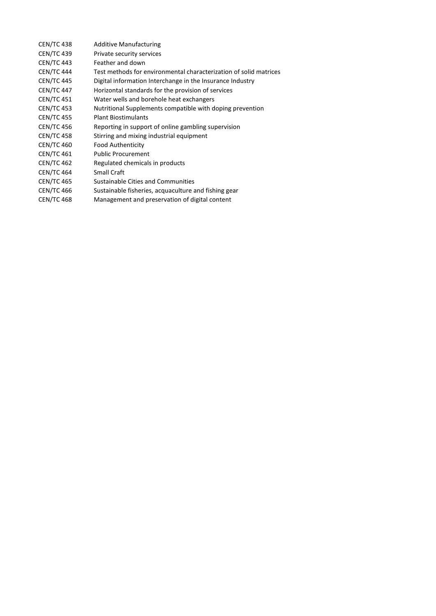| <b>CEN/TC 438</b> | <b>Additive Manufacturing</b>                                     |
|-------------------|-------------------------------------------------------------------|
| <b>CEN/TC 439</b> | Private security services                                         |
| <b>CEN/TC 443</b> | Feather and down                                                  |
| <b>CEN/TC 444</b> | Test methods for environmental characterization of solid matrices |
| <b>CEN/TC 445</b> | Digital information Interchange in the Insurance Industry         |
| <b>CEN/TC 447</b> | Horizontal standards for the provision of services                |
| <b>CEN/TC 451</b> | Water wells and borehole heat exchangers                          |
| <b>CEN/TC 453</b> | Nutritional Supplements compatible with doping prevention         |
| <b>CEN/TC 455</b> | <b>Plant Biostimulants</b>                                        |
| <b>CEN/TC 456</b> | Reporting in support of online gambling supervision               |
| <b>CEN/TC 458</b> | Stirring and mixing industrial equipment                          |
| <b>CEN/TC 460</b> | <b>Food Authenticity</b>                                          |
| <b>CEN/TC 461</b> | <b>Public Procurement</b>                                         |
| <b>CEN/TC 462</b> | Regulated chemicals in products                                   |
| <b>CEN/TC 464</b> | <b>Small Craft</b>                                                |
| <b>CEN/TC 465</b> | Sustainable Cities and Communities                                |
| <b>CEN/TC 466</b> | Sustainable fisheries, acquaculture and fishing gear              |
| <b>CEN/TC 468</b> | Management and preservation of digital content                    |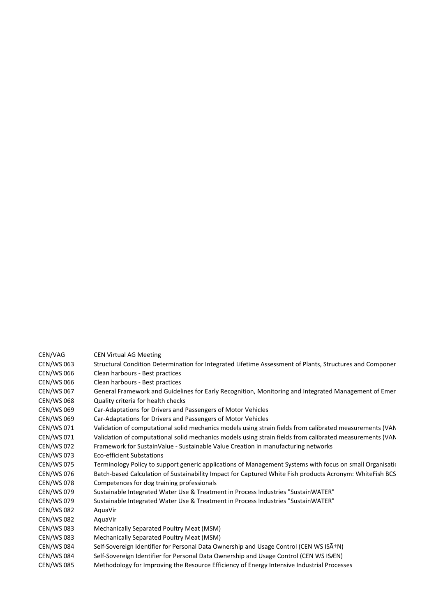| CEN/VAG           | <b>CEN Virtual AG Meeting</b>                                                                             |
|-------------------|-----------------------------------------------------------------------------------------------------------|
| <b>CEN/WS 063</b> | Structural Condition Determination for Integrated Lifetime Assessment of Plants, Structures and Componer  |
| <b>CEN/WS 066</b> | Clean harbours - Best practices                                                                           |
| <b>CEN/WS 066</b> | Clean harbours - Best practices                                                                           |
| <b>CEN/WS 067</b> | General Framework and Guidelines for Early Recognition, Monitoring and Integrated Management of Emer      |
| <b>CEN/WS 068</b> | Quality criteria for health checks                                                                        |
| <b>CEN/WS 069</b> | Car-Adaptations for Drivers and Passengers of Motor Vehicles                                              |
| <b>CEN/WS 069</b> | Car-Adaptations for Drivers and Passengers of Motor Vehicles                                              |
| CEN/WS 071        | Validation of computational solid mechanics models using strain fields from calibrated measurements (VAN  |
| <b>CEN/WS 071</b> | Validation of computational solid mechanics models using strain fields from calibrated measurements (VAN  |
| <b>CEN/WS 072</b> | Framework for SustainValue - Sustainable Value Creation in manufacturing networks                         |
| <b>CEN/WS 073</b> | Eco-efficient Substations                                                                                 |
| <b>CEN/WS 075</b> | Terminology Policy to support generic applications of Management Systems with focus on small Organisation |
| <b>CEN/WS 076</b> | Batch-based Calculation of Sustainability Impact for Captured White Fish products Acronym: WhiteFish BCS  |
| <b>CEN/WS 078</b> | Competences for dog training professionals                                                                |
| <b>CEN/WS 079</b> | Sustainable Integrated Water Use & Treatment in Process Industries "SustainWATER"                         |
| <b>CEN/WS 079</b> | Sustainable Integrated Water Use & Treatment in Process Industries "SustainWATER"                         |
| <b>CEN/WS 082</b> | AquaVir                                                                                                   |
| <b>CEN/WS 082</b> | AquaVir                                                                                                   |
| <b>CEN/WS 083</b> | Mechanically Separated Poultry Meat (MSM)                                                                 |
| <b>CEN/WS 083</b> | Mechanically Separated Poultry Meat (MSM)                                                                 |
| <b>CEN/WS 084</b> | Self-Sovereign Identifier for Personal Data Ownership and Usage Control (CEN WS ISA+N)                    |
| <b>CEN/WS 084</b> | Self-Sovereign Identifier for Personal Data Ownership and Usage Control (CEN WS ISÆN)                     |
| <b>CEN/WS 085</b> | Methodology for Improving the Resource Efficiency of Energy Intensive Industrial Processes                |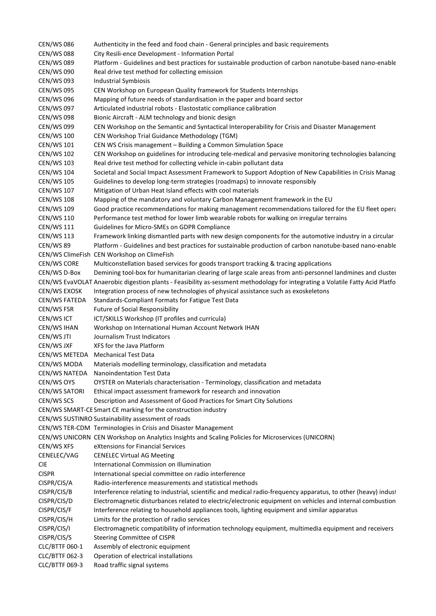CEN/WS 086 Authenticity in the feed and food chain - General principles and basic requirements CEN/WS 088 City Resili-ence Development - Information Portal CEN/WS 089 Platform - Guidelines and best practices for sustainable production of carbon nanotube-based nano-enable CEN/WS 090 Real drive test method for collecting emission CEN/WS 093 Industrial Symbiosis CEN/WS 095 CEN Workshop on European Quality framework for Students Internships CEN/WS 096 Mapping of future needs of standardisation in the paper and board sector CEN/WS 097 Articulated industrial robots - Elastostatic compliance calibration CEN/WS 098 Bionic Aircraft - ALM technology and bionic design CEN/WS 099 CEN Workshop on the Semantic and Syntactical Interoperability for Crisis and Disaster Management CEN/WS 100 CEN Workshop Trial Guidance Methodology (TGM) CEN/WS 101 CEN WS Crisis management – Building a Common Simulation Space CEN/WS 102 CEN Workshop on guidelines for introducing tele-medical and pervasive monitoring technologies balancing CEN/WS 103 Real drive test method for collecting vehicle in-cabin pollutant data CEN/WS 104 Societal and Social Impact Assessment Framework to Support Adoption of New Capabilities in Crisis Manag CEN/WS 105 Guidelines to develop long-term strategies (roadmaps) to innovate responsibly CEN/WS 107 Mitigation of Urban Heat Island effects with cool materials CEN/WS 108 Mapping of the mandatory and voluntary Carbon Management framework in the EU CEN/WS 109 Good practice recommendations for making management recommendations tailored for the EU fleet opera CEN/WS 110 Performance test method for lower limb wearable robots for walking on irregular terrains CEN/WS 111 Guidelines for Micro-SMEs on GDPR Compliance CEN/WS 113 Framework linking dismantled parts with new design components for the automotive industry in a circular CEN/WS 89 Platform - Guidelines and best practices for sustainable production of carbon nanotube-based nano-enable CEN/WS ClimeFish CEN Workshop on ClimeFish CEN/WS CORE Multiconstellation based services for goods transport tracking & tracing applications CEN/WS D-Box Demining tool-box for humanitarian clearing of large scale areas from anti-personnel landmines and cluster CEN/WS EvaVOLAT Anaerobic digestion plants - Feasibility as-sessment methodology for integrating a Volatile Fatty Acid Platfo CEN/WS EXOSK Integration process of new technologies of physical assistance such as exoskeletons CEN/WS FATEDA Standards-Compliant Formats for Fatigue Test Data CEN/WS FSR Future of Social Responsibility CEN/WS ICT ICT/SKILLS Workshop (IT profiles and curricula) CEN/WS IHAN Workshop on International Human Account Network IHAN CEN/WS JTI Journalism Trust Indicators CEN/WS JXF XFS for the Java Platform CEN/WS METEDA Mechanical Test Data CEN/WS MODA Materials modelling terminology, classification and metadata CEN/WS NATEDA Nanoindentation Test Data CEN/WS OYS OYSTER on Materials characterisation - Terminology, classification and metadata CEN/WS SATORI Ethical impact assessment framework for research and innovation CEN/WS SCS Description and Assessment of Good Practices for Smart City Solutions CEN/WS SMART-CE Smart CE marking for the construction industry CEN/WS SUSTINRO Sustainability assessment of roads CEN/WS TER-CDM Terminologies in Crisis and Disaster Management CEN/WS UNICORN CEN Workshop on Analytics Insights and Scaling Policies for Microservices (UNICORN) CEN/WS XFS eXtensions for Financial Services CENELEC/VAG CENELEC Virtual AG Meeting CIE International Commission on Illumination CISPR International special committee on radio interference CISPR/CIS/A Radio-interference measurements and statistical methods CISPR/CIS/B Interference relating to industrial, scientific and medical radio-frequency apparatus, to other (heavy) indust CISPR/CIS/D Electromagnetic disturbances related to electric/electronic equipment on vehicles and internal combustion CISPR/CIS/F Interference relating to household appliances tools, lighting equipment and similar apparatus CISPR/CIS/H Limits for the protection of radio services CISPR/CIS/I Electromagnetic compatibility of information technology equipment, multimedia equipment and receivers CISPR/CIS/S Steering Committee of CISPR CLC/BTTF 060-1 Assembly of electronic equipment CLC/BTTF 062-3 Operation of electrical installations CLC/BTTF 069-3 Road traffic signal systems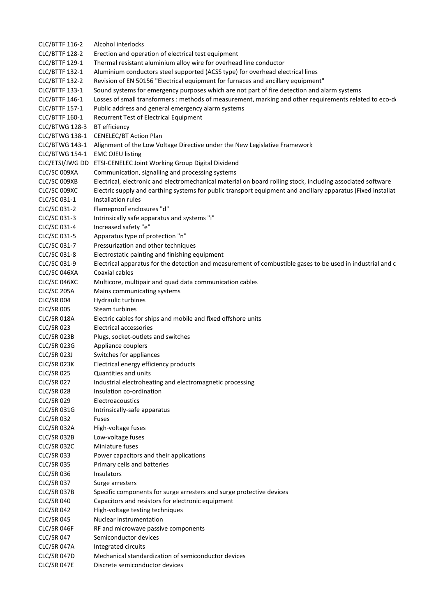CLC/BTTF 116-2 Alcohol interlocks CLC/BTTF 128-2 Erection and operation of electrical test equipment CLC/BTTF 129-1 Thermal resistant aluminium alloy wire for overhead line conductor CLC/BTTF 132-1 Aluminium conductors steel supported (ACSS type) for overhead electrical lines CLC/BTTF 132-2 Revision of EN 50156 "Electrical equipment for furnaces and ancillary equipment" CLC/BTTF 133-1 Sound systems for emergency purposes which are not part of fire detection and alarm systems CLC/BTTF 146-1 Losses of small transformers : methods of measurement, marking and other requirements related to eco-de CLC/BTTF 157-1 Public address and general emergency alarm systems Recurrent Test of Electrical Equipment CLC/BTWG 128-3 BT efficiency CLC/BTWG 138-1 CENELEC/BT Action Plan CLC/BTWG 143-1 Alignment of the Low Voltage Directive under the New Legislative Framework CLC/BTWG 154-1 EMC OJEU listing CLC/ETSI/JWG DD ETSI-CENELEC Joint Working Group Digital Dividend CLC/SC 009XA Communication, signalling and processing systems CLC/SC 009XB Electrical, electronic and electromechanical material on board rolling stock, including associated software CLC/SC 009XC Electric supply and earthing systems for public transport equipment and ancillary apparatus (Fixed installations) CLC/SC 031-1 Installation rules CLC/SC 031-2 Flameproof enclosures "d" CLC/SC 031-3 Intrinsically safe apparatus and systems "i" CLC/SC 031-4 Increased safety "e" CLC/SC 031-5 Apparatus type of protection "n" CLC/SC 031-7 Pressurization and other techniques CLC/SC 031-8 Electrostatic painting and finishing equipment CLC/SC 031-9 Electrical apparatus for the detection and measurement of combustible gases to be used in industrial and c CLC/SC 046XA Coaxial cables CLC/SC 046XC Multicore, multipair and quad data communication cables CLC/SC 205A Mains communicating systems CLC/SR 004 Hydraulic turbines CLC/SR 005 Steam turbines CLC/SR 018A Electric cables for ships and mobile and fixed offshore units CLC/SR 023 Electrical accessories CLC/SR 023B Plugs, socket-outlets and switches CLC/SR 023G Appliance couplers CLC/SR 023J Switches for appliances CLC/SR 023K Electrical energy efficiency products CLC/SR 025 Quantities and units CLC/SR 027 Industrial electroheating and electromagnetic processing CLC/SR 028 Insulation co-ordination CLC/SR 029 Electroacoustics CLC/SR 031G Intrinsically-safe apparatus CLC/SR 032 Fuses CLC/SR 032A High-voltage fuses CLC/SR 032B Low-voltage fuses CLC/SR 032C Miniature fuses CLC/SR 033 Power capacitors and their applications CLC/SR 035 Primary cells and batteries CLC/SR 036 Insulators CLC/SR 037 Surge arresters CLC/SR 037B Specific components for surge arresters and surge protective devices CLC/SR 040 Capacitors and resistors for electronic equipment CLC/SR 042 High-voltage testing techniques CLC/SR 045 Nuclear instrumentation CLC/SR 046F RF and microwave passive components CLC/SR 047 Semiconductor devices CLC/SR 047A Integrated circuits CLC/SR 047D Mechanical standardization of semiconductor devices CLC/SR 047E Discrete semiconductor devices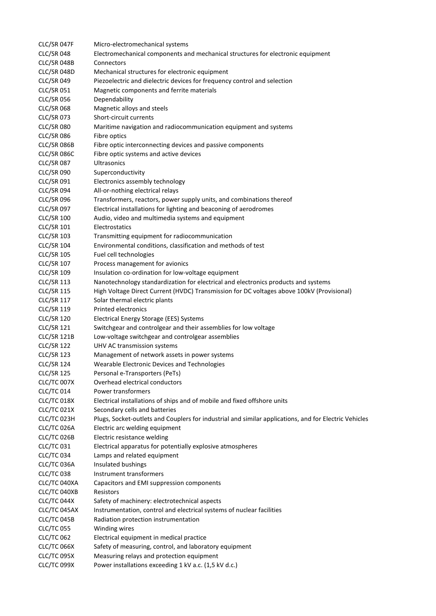| CLC/SR 047F        | Micro-electromechanical systems                                                                       |
|--------------------|-------------------------------------------------------------------------------------------------------|
| <b>CLC/SR 048</b>  | Electromechanical components and mechanical structures for electronic equipment                       |
| CLC/SR 048B        | Connectors                                                                                            |
| CLC/SR 048D        | Mechanical structures for electronic equipment                                                        |
| <b>CLC/SR 049</b>  | Piezoelectric and dielectric devices for frequency control and selection                              |
| <b>CLC/SR 051</b>  | Magnetic components and ferrite materials                                                             |
| <b>CLC/SR 056</b>  | Dependability                                                                                         |
| <b>CLC/SR 068</b>  | Magnetic alloys and steels                                                                            |
| <b>CLC/SR 073</b>  | Short-circuit currents                                                                                |
| <b>CLC/SR 080</b>  | Maritime navigation and radiocommunication equipment and systems                                      |
| <b>CLC/SR 086</b>  | Fibre optics                                                                                          |
| CLC/SR 086B        |                                                                                                       |
|                    | Fibre optic interconnecting devices and passive components                                            |
| CLC/SR 086C        | Fibre optic systems and active devices                                                                |
| <b>CLC/SR 087</b>  | Ultrasonics                                                                                           |
| <b>CLC/SR 090</b>  | Superconductivity                                                                                     |
| <b>CLC/SR 091</b>  | Electronics assembly technology                                                                       |
| <b>CLC/SR 094</b>  | All-or-nothing electrical relays                                                                      |
| <b>CLC/SR 096</b>  | Transformers, reactors, power supply units, and combinations thereof                                  |
| <b>CLC/SR 097</b>  | Electrical installations for lighting and beaconing of aerodromes                                     |
| <b>CLC/SR 100</b>  | Audio, video and multimedia systems and equipment                                                     |
| <b>CLC/SR 101</b>  | Electrostatics                                                                                        |
| <b>CLC/SR 103</b>  | Transmitting equipment for radiocommunication                                                         |
| <b>CLC/SR 104</b>  | Environmental conditions, classification and methods of test                                          |
| <b>CLC/SR 105</b>  | Fuel cell technologies                                                                                |
| <b>CLC/SR 107</b>  | Process management for avionics                                                                       |
| <b>CLC/SR 109</b>  | Insulation co-ordination for low-voltage equipment                                                    |
| <b>CLC/SR 113</b>  | Nanotechnology standardization for electrical and electronics products and systems                    |
| <b>CLC/SR 115</b>  | High Voltage Direct Current (HVDC) Transmission for DC voltages above 100kV (Provisional)             |
| <b>CLC/SR 117</b>  | Solar thermal electric plants                                                                         |
| <b>CLC/SR 119</b>  | <b>Printed electronics</b>                                                                            |
| <b>CLC/SR 120</b>  | Electrical Energy Storage (EES) Systems                                                               |
| <b>CLC/SR 121</b>  | Switchgear and controlgear and their assemblies for low voltage                                       |
| <b>CLC/SR 121B</b> | Low-voltage switchgear and controlgear assemblies                                                     |
| <b>CLC/SR 122</b>  | UHV AC transmission systems                                                                           |
| <b>CLC/SR 123</b>  | Management of network assets in power systems                                                         |
| <b>CLC/SR 124</b>  | Wearable Electronic Devices and Technologies                                                          |
| <b>CLC/SR 125</b>  | Personal e-Transporters (PeTs)                                                                        |
| CLC/TC 007X        | Overhead electrical conductors                                                                        |
| <b>CLC/TC 014</b>  | Power transformers                                                                                    |
| CLC/TC 018X        | Electrical installations of ships and of mobile and fixed offshore units                              |
| CLC/TC 021X        | Secondary cells and batteries                                                                         |
| CLC/TC 023H        | Plugs, Socket-outlets and Couplers for industrial and similar applications, and for Electric Vehicles |
| CLC/TC 026A        | Electric arc welding equipment                                                                        |
| CLC/TC 026B        | Electric resistance welding                                                                           |
| <b>CLC/TC 031</b>  | Electrical apparatus for potentially explosive atmospheres                                            |
| <b>CLC/TC 034</b>  | Lamps and related equipment                                                                           |
| CLC/TC 036A        | Insulated bushings                                                                                    |
| CLC/TC 038         | Instrument transformers                                                                               |
| CLC/TC 040XA       | Capacitors and EMI suppression components                                                             |
| CLC/TC 040XB       | <b>Resistors</b>                                                                                      |
| CLC/TC 044X        | Safety of machinery: electrotechnical aspects                                                         |
| CLC/TC 045AX       | Instrumentation, control and electrical systems of nuclear facilities                                 |
| CLC/TC 045B        | Radiation protection instrumentation                                                                  |
| <b>CLC/TC 055</b>  | Winding wires                                                                                         |
| <b>CLC/TC 062</b>  | Electrical equipment in medical practice                                                              |
| CLC/TC 066X        | Safety of measuring, control, and laboratory equipment                                                |
| CLC/TC 095X        | Measuring relays and protection equipment                                                             |
| CLC/TC 099X        | Power installations exceeding 1 kV a.c. (1,5 kV d.c.)                                                 |
|                    |                                                                                                       |